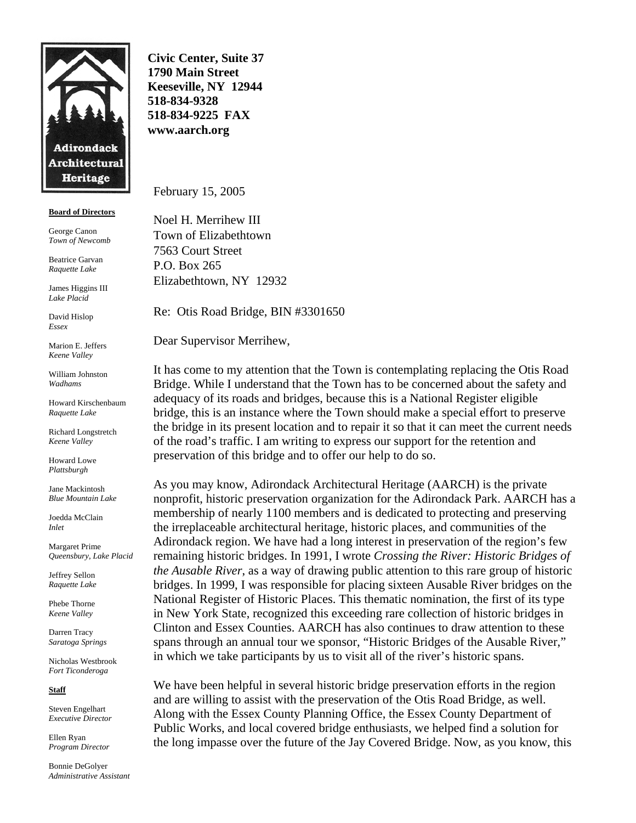

## **Board of Directors**

George Canon *Town of Newcomb* 

Beatrice Garvan *Raquette Lake* 

James Higgins III *Lake Placid* 

David Hislop *Essex* 

Marion E. Jeffers *Keene Valley* 

William Johnston *Wadhams* 

Howard Kirschenbaum *Raquette Lake* 

Richard Longstretch *Keene Valley* 

Howard Lowe *Plattsburgh* 

Jane Mackintosh *Blue Mountain Lake*

Joedda McClain *Inlet* 

Margaret Prime *Queensbury, Lake Placid* 

Jeffrey Sellon *Raquette Lake* 

Phebe Thorne *Keene Valley* 

Darren Tracy *Saratoga Springs* 

Nicholas Westbrook *Fort Ticonderoga* 

**Staff**

Steven Engelhart *Executive Director* 

Ellen Ryan *Program Director* 

Bonnie DeGolyer *Administrative Assistant* 

**Civic Center, Suite 37 1790 Main Street Keeseville, NY 12944 518-834-9328 518-834-9225 FAX www.aarch.org** 

February 15, 2005

Noel H. Merrihew III Town of Elizabethtown 7563 Court Street P.O. Box 265 Elizabethtown, NY 12932

Re: Otis Road Bridge, BIN #3301650

Dear Supervisor Merrihew,

It has come to my attention that the Town is contemplating replacing the Otis Road Bridge. While I understand that the Town has to be concerned about the safety and adequacy of its roads and bridges, because this is a National Register eligible bridge, this is an instance where the Town should make a special effort to preserve the bridge in its present location and to repair it so that it can meet the current needs of the road's traffic. I am writing to express our support for the retention and preservation of this bridge and to offer our help to do so.

As you may know, Adirondack Architectural Heritage (AARCH) is the private nonprofit, historic preservation organization for the Adirondack Park. AARCH has a membership of nearly 1100 members and is dedicated to protecting and preserving the irreplaceable architectural heritage, historic places, and communities of the Adirondack region. We have had a long interest in preservation of the region's few remaining historic bridges. In 1991, I wrote *Crossing the River: Historic Bridges of the Ausable River*, as a way of drawing public attention to this rare group of historic bridges. In 1999, I was responsible for placing sixteen Ausable River bridges on the National Register of Historic Places. This thematic nomination, the first of its type in New York State, recognized this exceeding rare collection of historic bridges in Clinton and Essex Counties. AARCH has also continues to draw attention to these spans through an annual tour we sponsor, "Historic Bridges of the Ausable River," in which we take participants by us to visit all of the river's historic spans.

We have been helpful in several historic bridge preservation efforts in the region and are willing to assist with the preservation of the Otis Road Bridge, as well. Along with the Essex County Planning Office, the Essex County Department of Public Works, and local covered bridge enthusiasts, we helped find a solution for the long impasse over the future of the Jay Covered Bridge. Now, as you know, this